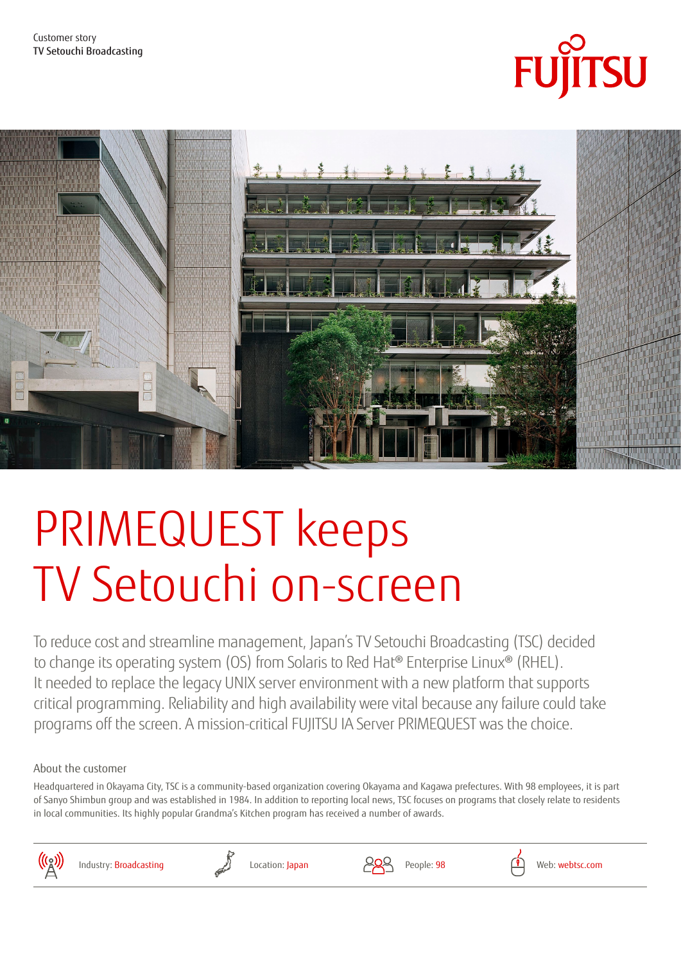



# PRIMEQUEST keeps TV Setouchi on-screen

To reduce cost and streamline management, Japan's TV Setouchi Broadcasting (TSC) decided to change its operating system (OS) from Solaris to Red Hat® Enterprise Linux® (RHEL). It needed to replace the legacy UNIX server environment with a new platform that supports critical programming. Reliability and high availability were vital because any failure could take programs off the screen. A mission-critical FUJITSU IA Server PRIMEQUEST was the choice.

About the customer

Headquartered in Okayama City, TSC is a community-based organization covering Okayama and Kagawa prefectures. With 98 employees, it is part of Sanyo Shimbun group and was established in 1984. In addition to reporting local news, TSC focuses on programs that closely relate to residents in local communities. Its highly popular Grandma's Kitchen program has received a number of awards.